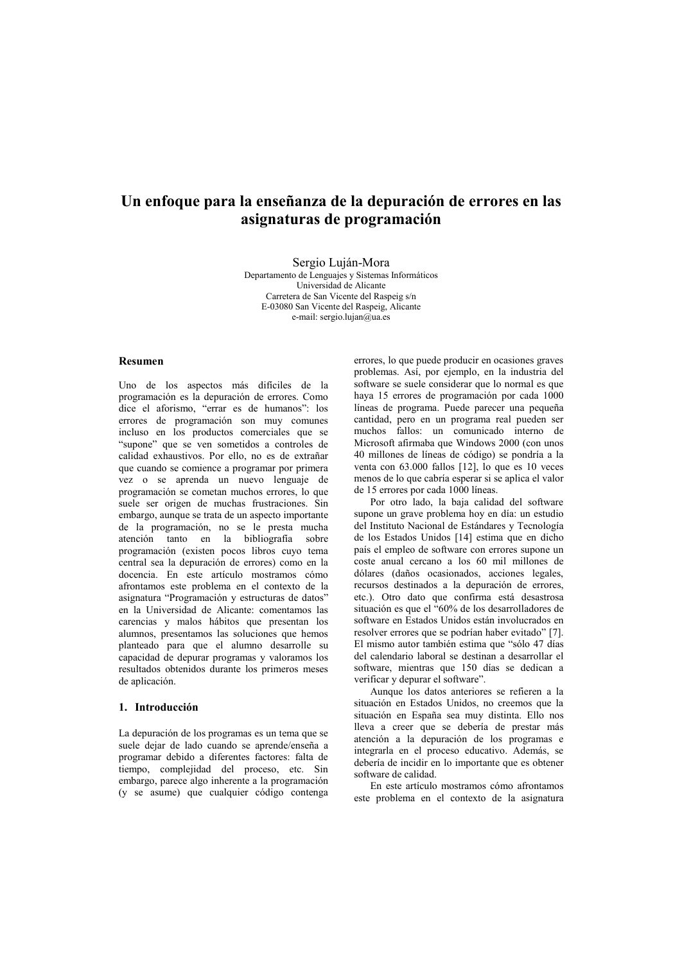# Un enfoque para la enseñanza de la depuración de errores en las asignaturas de programación

Sergio Luián-Mora Departamento de Lenguajes y Sistemas Informáticos Universidad de Alicante Carretera de San Vicente del Raspeig s/n E-03080 San Vicente del Raspeig, Alicante e-mail: sergio.lujan@ua.es

# **Resumen**

Uno de los aspectos más difíciles de la programación es la depuración de errores. Como dice el aforismo. "errar es de humanos": los errores de programación son muy comunes incluso en los productos comerciales que se "supone" que se ven sometidos a controles de calidad exhaustivos. Por ello, no es de extrañar que cuando se comience a programar por primera vez o se aprenda un nuevo lenguaje de programación se cometan muchos errores. lo que suele ser origen de muchas frustraciones. Sin embargo, aunque se trata de un aspecto importante de la programación, no se le presta mucha atención tanto en la bibliografía sobre programación (existen pocos libros cuyo tema central sea la depuración de errores) como en la docencia. En este artículo mostramos cómo afrontamos este problema en el contexto de la asignatura "Programación y estructuras de datos" en la Universidad de Alicante: comentamos las carencias y malos hábitos que presentan los alumnos, presentamos las soluciones que hemos planteado para que el alumno desarrolle su capacidad de depurar programas y valoramos los resultados obtenidos durante los primeros meses de aplicación.

# 1. Introducción

La depuración de los programas es un tema que se suele dejar de lado cuando se aprende/enseña a programar debido a diferentes factores: falta de tiempo, complejidad del proceso, etc. Sin embargo, parece algo inherente a la programación (y se asume) que cualquier código contenga

errores, lo que puede producir en ocasiones graves problemas. Así, por ejemplo, en la industria del software se suele considerar que lo normal es que haya 15 errores de programación por cada 1000 líneas de programa. Puede parecer una pequeña cantidad, pero en un programa real pueden ser muchos fallos: un comunicado interno de Microsoft afirmaba que Windows 2000 (con unos 40 millones de líneas de código) se pondría a la venta con 63.000 fallos [12], lo que es 10 veces menos de lo que cabría esperar si se aplica el valor de 15 errores por cada 1000 líneas.

Por otro lado, la baja calidad del software supone un grave problema hov en día: un estudio del Instituto Nacional de Estándares y Tecnología de los Estados Unidos [14] estima que en dicho país el empleo de software con errores supone un coste anual cercano a los 60 mil millones de dólares (daños ocasionados, acciones legales, recursos destinados a la depuración de errores. etc.). Otro dato que confirma está desastrosa situación es que el "60% de los desarrolladores de software en Estados Unidos están involucrados en resolver errores que se podrían haber evitado" [7]. El mismo autor también estima que "sólo 47 días del calendario laboral se destinan a desarrollar el software, mientras que 150 días se dedican a verificar y depurar el software".

Aunque los datos anteriores se refieren a la situación en Estados Unidos, no creemos que la situación en España sea muy distinta. Ello nos lleva a creer que se debería de prestar más atención a la depuración de los programas e integrarla en el proceso educativo. Además, se debería de incidir en lo importante que es obtener software de calidad.

En este artículo mostramos cómo afrontamos este problema en el contexto de la asignatura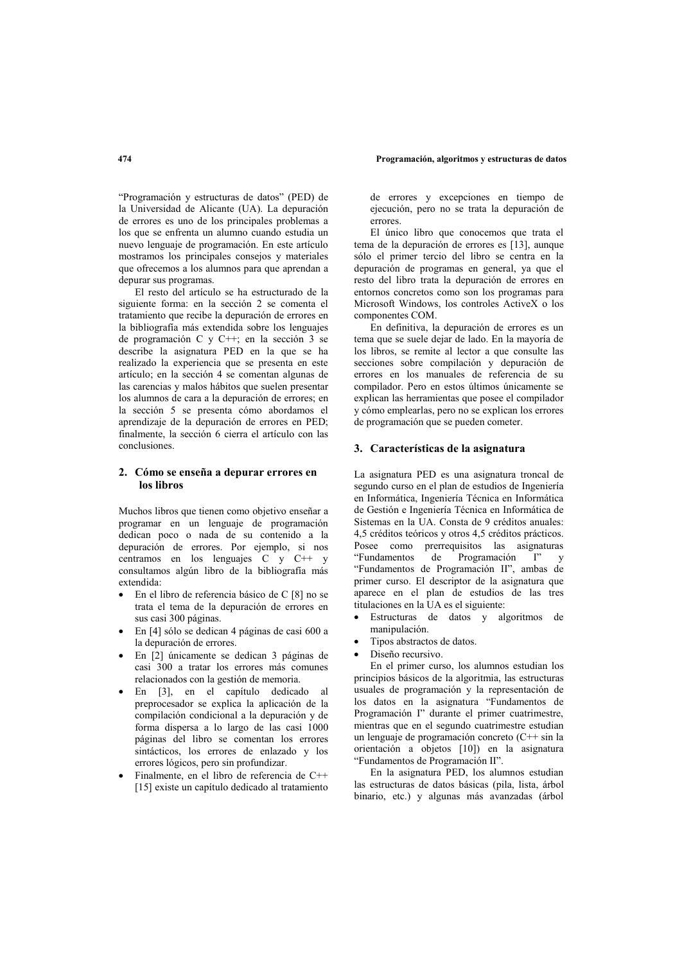"Programación y estructuras de datos" (PED) de la Universidad de Alicante (UA). La depuración de errores es uno de los principales problemas a los que se enfrenta un alumno cuando estudia un nuevo lenguaie de programación. En este artículo mostramos los principales consejos y materiales que ofrecemos a los alumnos para que aprendan a depurar sus programas.

El resto del artículo se ha estructurado de la siguiente forma: en la sección 2 se comenta el tratamiento que recibe la depuración de errores en la bibliografía más extendida sobre los lenguajes de programación C y C++; en la sección 3 se describe la asignatura PED en la que se ha realizado la experiencia que se presenta en este artículo; en la sección 4 se comentan algunas de las carencias y malos hábitos que suelen presentar los alumnos de cara a la depuración de errores: en la sección 5 se presenta cómo abordamos el aprendizaje de la depuración de errores en PED; finalmente, la sección 6 cierra el artículo con las conclusiones.

# 2. Cómo se enseña a depurar errores en los libros

Muchos libros que tienen como obietivo enseñar a programar en un lenguaie de programación dedican poco o nada de su contenido a la depuración de errores. Por ejemplo, si nos centramos en los lenguajes  $C$  y  $C++$  y consultamos algún libro de la bibliografía más extendida:

- En el libro de referencia básico de C [8] no se trata el tema de la depuración de errores en sus casi 300 páginas.
- · En [4] sólo se dedican 4 páginas de casi 600 a la depuración de errores.
- En [2] únicamente se dedican 3 páginas de casi 300 a tratar los errores más comunes relacionados con la gestión de memoria.
- · En [3], en el capítulo dedicado al preprocesador se explica la aplicación de la compilación condicional a la depuración y de forma dispersa a lo largo de las casi 1000 páginas del libro se comentan los errores sintácticos, los errores de enlazado y los errores lógicos, pero sin profundizar.
- Finalmente, en el libro de referencia de  $C++$ [15] existe un capítulo dedicado al tratamiento

de errores y excepciones en tiempo de ejecución, pero no se trata la depuración de  $err$ Ores

El único libro que conocemos que trata el tema de la depuración de errores es [13], aunque sólo el primer tercio del libro se centra en la depuración de programas en general, ya que el resto del libro trata la depuración de errores en entornos concretos como son los programas para Microsoft Windows, los controles ActiveX o los componentes COM.

En definitiva, la depuración de errores es un tema que se suele dejar de lado. En la mayoría de los libros, se remite al lector a que consulte las secciones sobre compilación y depuración de errores en los manuales de referencia de su compilador. Pero en estos últimos únicamente se explican las herramientas que posee el compilador y cómo emplearlas, pero no se explican los errores de programación que se pueden cometer.

# 3. Características de la asignatura

La asignatura PED es una asignatura troncal de segundo curso en el plan de estudios de Ingeniería en Informática. Ingeniería Técnica en Informática de Gestión e Ingeniería Técnica en Informática de Sistemas en la UA. Consta de 9 créditos anuales: 4,5 créditos teóricos y otros 4,5 créditos prácticos. Posee como prerrequisitos las asignaturas "Fundamentos" de Programación I"  $\mathbf{v}$ "Fundamentos de Programación II", ambas de primer curso. El descriptor de la asignatura que aparece en el plan de estudios de las tres titulaciones en la UA es el siguiente:

- Estructuras de datos y algoritmos de manipulación.
- Tipos abstractos de datos.
- Diseño recursivo.

En el primer curso, los alumnos estudian los principios básicos de la algoritmia, las estructuras usuales de programación y la representación de los datos en la asignatura "Fundamentos de Programación I" durante el primer cuatrimestre, mientras que en el segundo cuatrimestre estudian un lenguaje de programación concreto  $(C^{++}$  sin la orientación a objetos [10]) en la asignatura "Fundamentos de Programación II".

En la asignatura PED, los alumnos estudian las estructuras de datos básicas (pila, lista, árbol binario, etc.) y algunas más avanzadas (árbol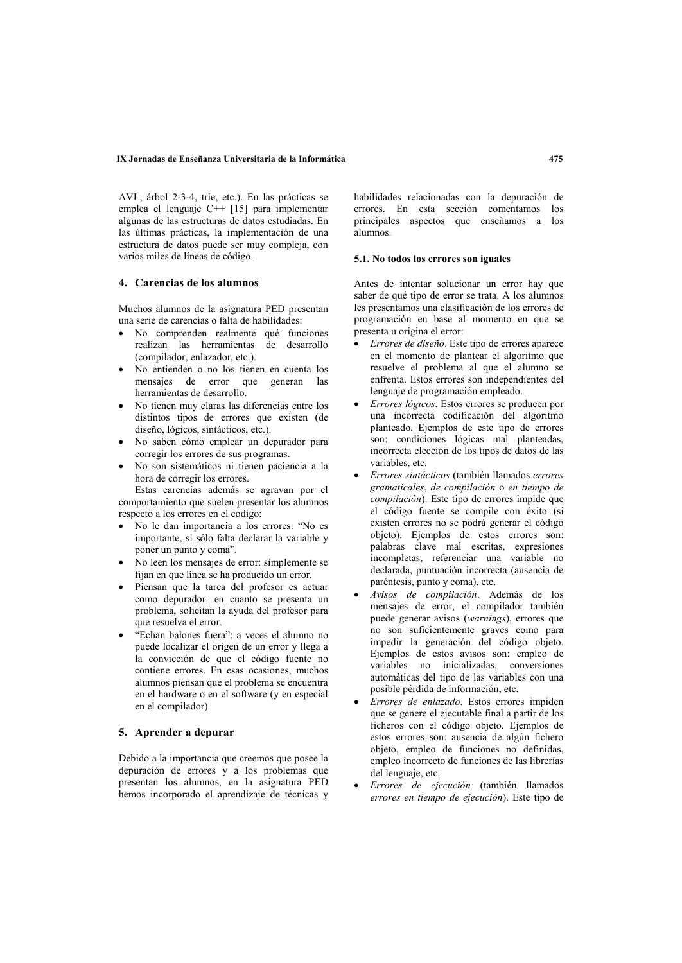AVL árbol 2-3-4 trie etc.). En las prácticas se emplea el lenguaje  $C++$  [15] para implementar algunas de las estructuras de datos estudiadas. En las últimas prácticas, la implementación de una estructura de datos puede ser muy compleja, con varios miles de líneas de código.

# 4. Carencias de los alumnos

Muchos alumnos de la asignatura PED presentan una serie de carencias o falta de habilidades:

- No comprenden realmente qué funciones realizan las herramientas de desarrollo (compilador, enlazador, etc.).
- No entienden o no los tienen en cuenta los mensajes de error que generan las herramientas de desarrollo.
- No tienen muy claras las diferencias entre los distintos tipos de errores que existen (de diseño, lógicos, sintácticos, etc.).
- · No saben cómo emplear un depurador para corregir los errores de sus programas.
- No son sistemáticos ni tienen paciencia a la hora de corregir los errores.

Estas carencias además se agravan por el comportamiento que suelen presentar los alumnos respecto a los errores en el código:

- No le dan importancia a los errores: "No es importante, si sólo falta declarar la variable y poner un punto y coma".
- No leen los mensajes de error: simplemente se fijan en que línea se ha producido un error.
- Piensan que la tarea del profesor es actuar como depurador: en cuanto se presenta un problema, solicitan la ayuda del profesor para que resuelva el error.
- "Echan balones fuera": a veces el alumno no puede localizar el origen de un error y llega a la convicción de que el código fuente no contiene errores. En esas ocasiones, muchos alumnos piensan que el problema se encuentra en el hardware o en el software (y en especial en el compilador).

# 5. Aprender a depurar

Debido a la importancia que creemos que posee la depuración de errores y a los problemas que presentan los alumnos, en la asignatura PED hemos incorporado el aprendizaje de técnicas y habilidades relacionadas con la depuración de errores. En esta sección comentamos los principales aspectos que enseñamos a los alumnos

# 5.1. No todos los errores son iguales

Antes de intentar solucionar un error hay que saber de qué tipo de error se trata. A los alumnos les presentamos una clasificación de los errores de programación en base al momento en que se presenta u origina el error:

- Errores de diseño. Este tipo de errores aparece en el momento de plantear el algoritmo que resuelve el problema al que el alumno se enfrenta. Estos errores son independientes del lenguaje de programación empleado.
- Errores lógicos. Estos errores se producen por una incorrecta codificación del algoritmo planteado. Ejemplos de este tipo de errores son: condiciones lógicas mal planteadas, incorrecta elección de los tipos de datos de las variables, etc.
- Errores sintácticos (también llamados errores gramaticales, de compilación o en tiempo de compilación). Este tipo de errores impide que el código fuente se compile con éxito (si existen errores no se podrá generar el código objeto). Ejemplos de estos errores son: palabras clave mal escritas, expresiones incompletas, referenciar una variable no declarada, puntuación incorrecta (ausencia de paréntesis, punto y coma), etc.
- Avisos de compilación. Además de los mensajes de error, el compilador también puede generar avisos (warnings), errores que no son suficientemente graves como para impedir la generación del código objeto. Ejemplos de estos avisos son: empleo de variables no inicializadas, conversiones automáticas del tipo de las variables con una posible pérdida de información, etc.
- Errores de enlazado. Estos errores impiden que se genere el ejecutable final a partir de los ficheros con el código objeto. Ejemplos de estos errores son: ausencia de algún fichero objeto, empleo de funciones no definidas, empleo incorrecto de funciones de las librerías del lenguaje, etc.
- Errores de ejecución (también llamados errores en tiempo de ejecución). Este tipo de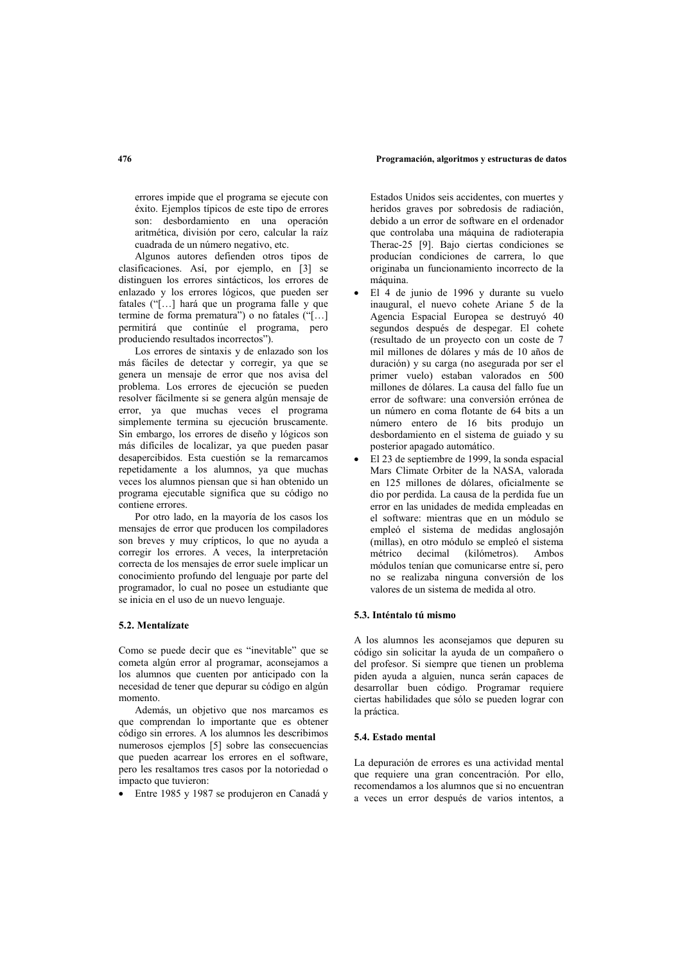errores impide que el programa se ejecute con éxito. Ejemplos típicos de este tipo de errores son: desbordamiento en una operación aritmética, división por cero, calcular la raíz cuadrada de un número negativo, etc.

Algunos autores defienden otros tipos de clasificaciones. Así, por ejemplo, en [3] se distinguen los errores sintácticos. Los errores de enlazado y los errores lógicos, que pueden ser fatales ("[...] hará que un programa falle y que termine de forma prematura") o no fatales ("[...] permitirá que continúe el programa, pero produciendo resultados incorrectos").

Los errores de sintaxis y de enlazado son los más fáciles de detectar y corregir, ya que se genera un mensaje de error que nos avisa del problema. Los errores de ejecución se pueden resolver fácilmente si se genera algún mensaie de error, va que muchas veces el programa simplemente termina su ejecución bruscamente. Sin embargo, los errores de diseño y lógicos son más difíciles de localizar, ya que pueden pasar desapercibidos. Esta cuestión se la remarcamos repetidamente a los alumnos, ya que muchas veces los alumnos piensan que si han obtenido un programa ejecutable significa que su código no contiene errores.

Por otro lado, en la mayoría de los casos los mensajes de error que producen los compiladores son breves y muy crípticos, lo que no ayuda a corregir los errores. A veces, la interpretación correcta de los mensajes de error suele implicar un conocimiento profundo del lenguaje por parte del programador, lo cual no posee un estudiante que se inicia en el uso de un nuevo lenguaje.

# 5.2. Mentalízate

Como se puede decir que es "inevitable" que se cometa algún error al programar, aconsejamos a los alumnos que cuenten por anticipado con la necesidad de tener que depurar su código en algún momento.

Además, un objetivo que nos marcamos es que comprendan lo importante que es obtener código sin errores. A los alumnos les describimos numerosos ejemplos [5] sobre las consecuencias que pueden acarrear los errores en el software, pero les resaltamos tres casos por la notoriedad o impacto que tuvieron:

• Entre 1985 y 1987 se produjeron en Canadá y

Estados Unidos seis accidentes, con muertes y heridos graves por sobredosis de radiación, debido a un error de software en el ordenador que controlaba una máquina de radioterapia Therac-25 [9]. Baio ciertas condiciones se producían condiciones de carrera. lo que originaba un funcionamiento incorrecto de la máquina

- El 4 de junio de 1996 y durante su vuelo inaugural, el nuevo cohete Ariane 5 de la Agencia Espacial Europea se destruyó 40 segundos después de despegar. El cohete (resultado de un proyecto con un coste de 7 mil millones de dólares y más de 10 años de duración) y su carga (no asegurada por ser el primer vuelo) estaban valorados en 500 millones de dólares. La causa del fallo fue un error de software: una conversión errónea de un número en coma flotante de 64 bits a un número entero de 16 bits produjo un desbordamiento en el sistema de guiado y su posterior apagado automático.
- El 23 de septiembre de 1999, la sonda espacial Mars Climate Orbiter de la NASA, valorada en 125 millones de dólares, oficialmente se dio por perdida. La causa de la perdida fue un error en las unidades de medida empleadas en el software: mientras que en un módulo se empleó el sistema de medidas anglosajón (millas), en otro módulo se empleó el sistema  $decimal$  (kilómetros). métrico  $A$  mbos módulos tenían que comunicarse entre sí, pero no se realizaba ninguna conversión de los valores de un sistema de medida al otro.

# 53 Inténtale tú mismo

A los alumnos les aconsejamos que depuren su código sin solicitar la avuda de un compañero o del profesor. Si siempre que tienen un problema piden ayuda a alguien, nunca serán capaces de desarrollar buen código. Programar requiere ciertas habilidades que sólo se pueden lograr con la práctica.

### 5.4. Estado mental

La depuración de errores es una actividad mental que requiere una gran concentración. Por ello recomendamos a los alumnos que si no encuentran a veces un error después de varios intentos, a

# 476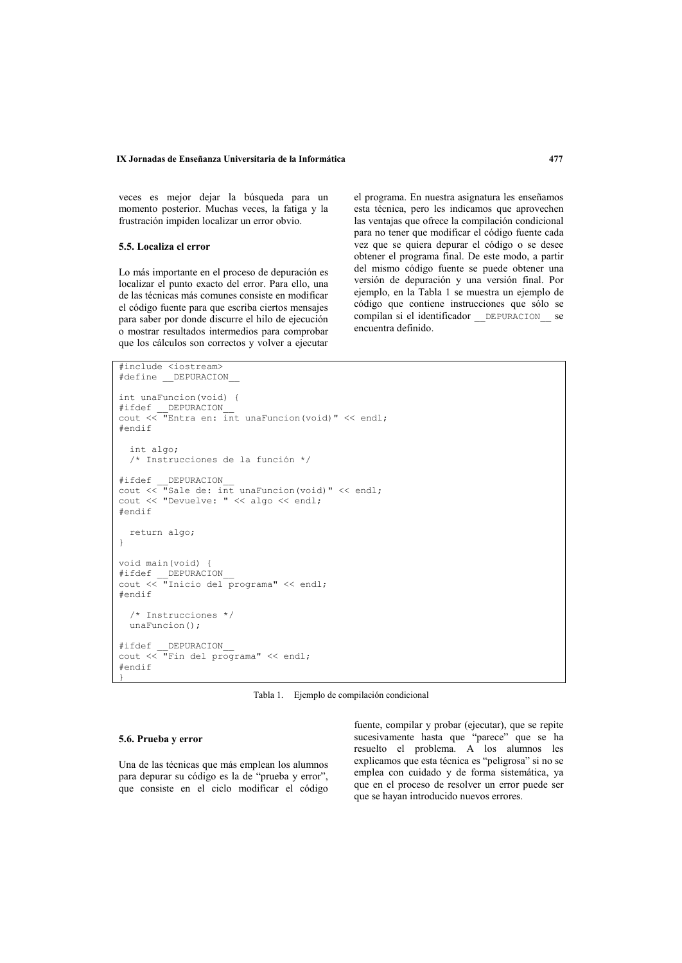### IX Jornadas de Enseñanza Universitaria de la Informática

veces es mejor dejar la búsqueda para un momento posterior. Muchas veces, la fatiga y la frustración impiden localizar un error obvio.

# 5.5. Localiza el error

Lo más importante en el proceso de depuración es localizar el punto exacto del error. Para ello, una de las técnicas más comunes consiste en modificar el código fuente para que escriba ciertos mensajes para saber por donde discurre el hilo de ejecución o mostrar resultados intermedios para comprobar que los cálculos son correctos y volver a ejecutar

el programa. En nuestra asignatura les enseñamos esta técnica, pero les indicamos que aprovechen las ventajas que ofrece la compilación condicional para no tener que modificar el código fuente cada vez que se quiera depurar el código o se desee obtener el programa final. De este modo, a partir del mismo código fuente se puede obtener una versión de depuración y una versión final. Por ejemplo, en la Tabla 1 se muestra un ejemplo de código que contiene instrucciones que sólo se compilan si el identificador DEPURACION se encuentra definido.

```
#include <iostream>
#define DEPURACION
int unaFuncion (void) {
#endif
   int algo;
   /* Instrucciones de la función */
#ifdef
             DEPURACION
\frac{1}{\text{cut}} \frac{1}{\text{cut}} \frac{1}{\text{cut}} \frac{1}{\text{cut}} \frac{1}{\text{cut}} \frac{1}{\text{cut}} \frac{1}{\text{cut}} \frac{1}{\text{cut}} \frac{1}{\text{cut}} \frac{1}{\text{cut}} \frac{1}{\text{cut}} \frac{1}{\text{cut}} \frac{1}{\text{cut}} \frac{1}{\text{cut}} \frac{1}{\text{cut}} \frac{1}{\text{cut}} \frac{1}{\text{cut}} 
cout << "Devuelve: " << algo << endl;
#endif
   return algo;
\overline{1}void main (void) {
#endif
   /* Instrucciones */
   unaFunction();
#ifdef
             DEPURACION
\text{count} \ll \text{``Fin} del programa" << endl;
\#andif
```
Tabla 1. Ejemplo de compilación condicional

## 5.6. Prueba v error

Una de las técnicas que más emplean los alumnos para depurar su código es la de "prueba y error". que consiste en el ciclo modificar el código

fuente, compilar y probar (ejecutar), que se repite sucesivamente hasta que "parece" que se ha resuelto el problema. A los alumnos les explicamos que esta técnica es "peligrosa" si no se emplea con cuidado y de forma sistemática, ya que en el proceso de resolver un error puede ser que se hayan introducido nuevos errores.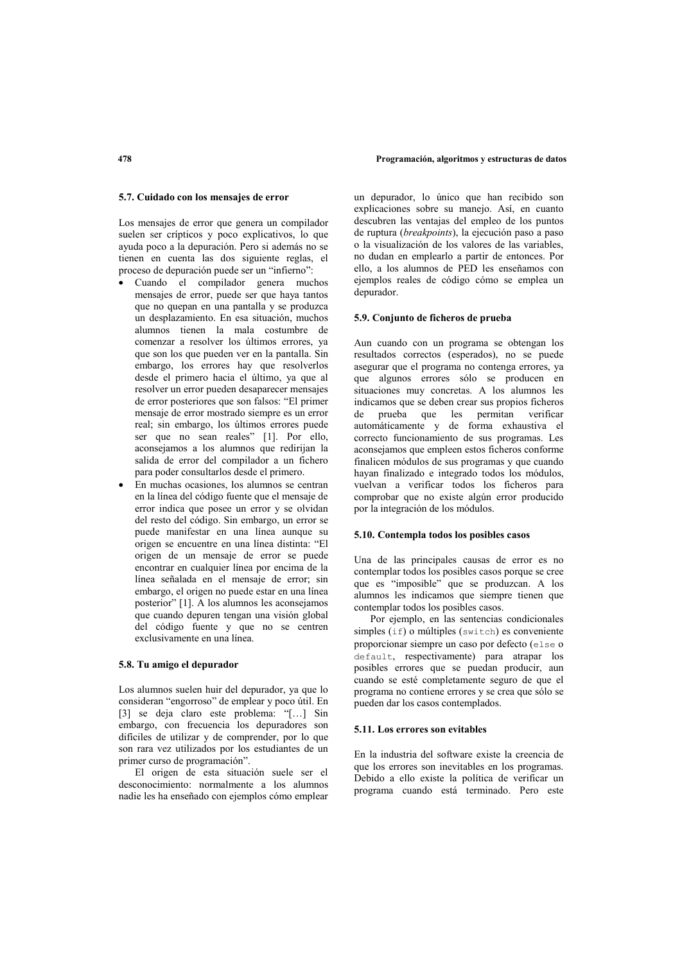### 5.7. Cuidado con los mensaies de error

Los mensajes de error que genera un compilador suelen ser crípticos y poco explicativos. lo que ayuda poco a la depuración. Pero si además no se tienen en cuenta las dos siguiente reglas, el proceso de depuración puede ser un "infierno".

- · Cuando el compilador genera muchos mensajes de error, puede ser que haya tantos que no quepan en una pantalla y se produzca un desplazamiento. En esa situación, muchos alumnos tienen la mala costumbre de comenzar a resolver los últimos errores, ya que son los que pueden ver en la pantalla. Sin embargo, los errores hay que resolverlos desde el primero hacia el último, va que al resolver un error pueden desaparecer mensaies de error posteriores que son falsos: "El primer mensaje de error mostrado siempre es un error real; sin embargo, los últimos errores puede ser que no sean reales" [1]. Por ello, aconsejamos a los alumnos que redirijan la salida de error del compilador a un fichero para poder consultarlos desde el primero.
- En muchas ocasiones, los alumnos se centran en la línea del código fuente que el mensaje de error indica que posee un error y se olvidan del resto del código. Sin embargo, un error se puede manifestar en una línea aunque su origen se encuentre en una línea distinta: "El origen de un mensaje de error se puede encontrar en cualquier línea por encima de la línea señalada en el mensaje de error; sin embargo, el origen no puede estar en una línea posterior" [1]. A los alumnos les aconsejamos que cuando depuren tengan una visión global del código fuente y que no se centren exclusivamente en una línea

# 5.8. Tu amigo el depurador

Los alumnos suelen huir del depurador, ya que lo consideran "engorroso" de emplear y poco útil. En [3] se deja claro este problema: "[...] Sin embargo, con frecuencia los depuradores son difíciles de utilizar y de comprender, por lo que son rara vez utilizados por los estudiantes de un primer curso de programación".

El origen de esta situación suele ser el desconocimiento: normalmente a los alumnos nadie les ha enseñado con ejemplos cómo emplear

un depurador, lo único que han recibido son explicaciones sobre su manejo. Así, en cuanto descubren las ventajas del empleo de los puntos de ruptura (breakpoints), la ejecución paso a paso o la visualización de los valores de las variables. no dudan en emplearlo a partir de entonces. Por ello, a los alumnos de PED les enseñamos con ejemplos reales de código cómo se emplea un depurador.

### 5.9. Conjunto de ficheros de prueba

Aun cuando con un programa se obtengan los resultados correctos (esperados), no se puede asegurar que el programa no contenga errores, va que algunos errores sólo se producen en situaciones muy concretas. A los alumnos les indicamos que se deben crear sus propios ficheros de prueba que les permitan verificar automáticamente y de forma exhaustiva el correcto funcionamiento de sus programas. Les aconsejamos que empleen estos ficheros conforme finalicen módulos de sus programas y que cuando hayan finalizado e integrado todos los módulos, vuelvan a verificar todos los ficheros para comprobar que no existe algún error producido por la integración de los módulos.

# 5.10. Contempla todos los posibles casos

Una de las principales causas de error es no contemplar todos los posibles casos porque se cree que es "imposible" que se produzcan. A los alumnos les indicamos que siempre tienen que contemplar todos los posibles casos.

Por ejemplo, en las sentencias condicionales simples (if) o múltiples (switch) es conveniente proporcionar siempre un caso por defecto (else o default, respectivamente) para atrapar los posibles errores que se puedan producir, aun cuando se esté completamente seguro de que el programa no contiene errores y se crea que sólo se pueden dar los casos contemplados.

### 5.11. Los errores son evitables

En la industria del software existe la creencia de que los errores son inevitables en los programas. Debido a ello existe la política de verificar un programa cuando está terminado. Pero este

# 478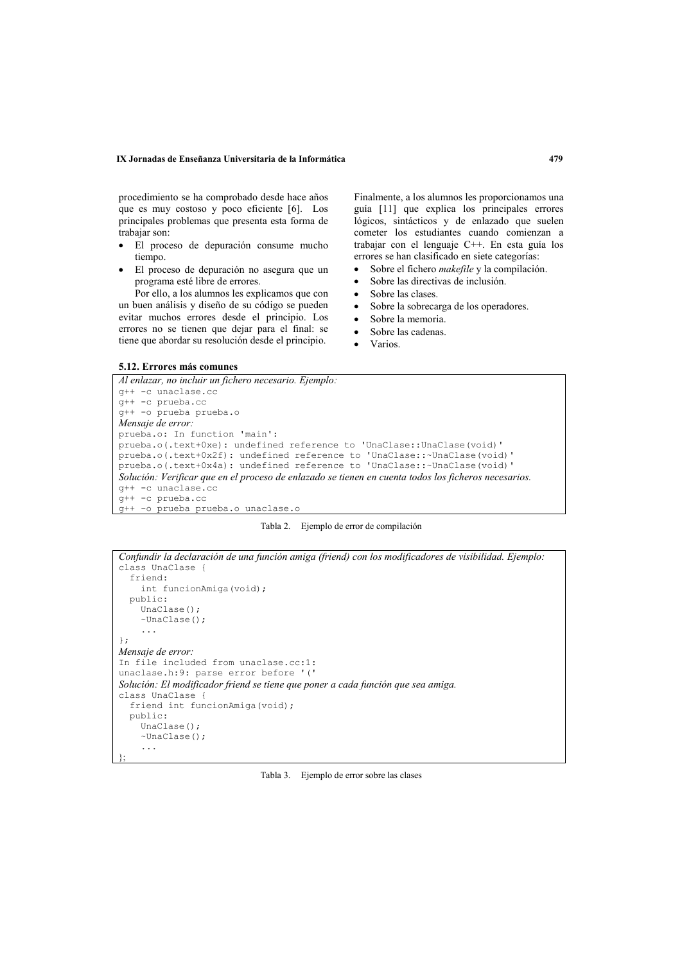### IX Jornadas de Enseñanza Universitaria de la Informática

procedimiento se ha comprobado desde hace años que es muy costoso y poco eficiente [6]. Los principales problemas que presenta esta forma de trabaiar son:

- · El proceso de depuración consume mucho tiempo
- El proceso de depuración no asegura que un programa esté libre de errores

Por ello, a los alumnos les explicamos que con un buen análisis y diseño de su código se pueden evitar muchos errores desde el principio. Los errores no se tienen que dejar para el final: se tiene que abordar su resolución desde el principio.

Finalmente, a los alumnos les proporcionamos una guía [11] que explica los principales errores lógicos, sintácticos y de enlazado que suelen cometer los estudiantes cuando comienzan a trabajar con el lenguaje C++. En esta guía los errores se han clasificado en siete categorías:

- Sobre el fichero makefile y la compilación.  $\bullet$
- Sobre las directivas de inclusión.  $\bullet$
- Sobre las clases  $\bullet$
- Sobre la sobrecarga de los operadores.  $\bullet$
- Sobre la memoria  $\bullet$
- Sobre las cadenas.  $\bullet$
- Varios.

### 5.12. Errores más comunes

```
Al enlazar, no incluir un fichero necesario. Ejemplo:
q++ -c unaclase.co
a++ -c prueba.cc
g++ -o prueba prueba.o
Mensaje de error:
prueba.o: In function 'main':
prueba.o(.text+0xe): undefined reference to 'UnaClase::UnaClase(void)'
prueba.o(.text+0x2f): undefined reference to 'UnaClase::~UnaClase(void)'
prueba.o(.text+0x4a): undefined reference to 'UnaClase::~UnaClase(void)'
Solución: Verificar que en el proceso de enlazado se tienen en cuenta todos los ficheros necesarios.
q++ -c unaclase.cc
q++ -c prueba.cc
q++ -o prueba prueba.o unaclase.o
```


```
Confundir la declaración de una función amiga (friend) con los modificadores de visibilidad. Ejemplo:
class UnaClase {
  friend:
    int funcionAmiga(void);
  public:
    UnaClasse():
    \simUnaClase();
    \ldots\lambda:
Mensaie de error:
In file included from unaclase.cc:1:
unaclase.h:9: parse error before '('
Solución: El modificador friend se tiene que poner a cada función que sea amiga.
class UnaClase {
  friend int funcionAmiga(void);
  public:
    UnaClase();
    \simUnaClase();
     \ldots
```
# Tabla 3. Ejemplo de error sobre las clases